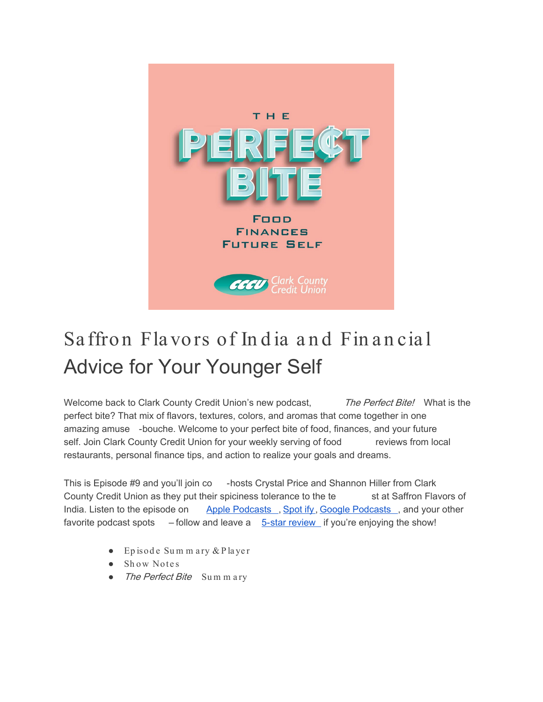

## Saffron Flavors of India and Financial Advice for Your Younger Self

Welcome back to Clark County Credit Union's new podcast, The Perfect Bite! What is the perfect bite? That mix of flavors, textures, colors, and aromas that come together in one amazing amuse -bouche. Welcome to your perfect bite of food, finances, and your future self. Join Clark County Credit Union for your weekly serving of food reviews from local restaurants, personal finance tips, and action to realize your goals and dreams.

This is Episode #9 and you'll join co - hosts Crystal Price and Shannon Hiller from Clark County Credit Union as they put their spiciness tolerance to the te stat Saffron Flavors of India. Listen to the episode on [Apple Podcasts](https://podcasts.apple.com/us/podcast/the-perfect-bite/id1604656448) [, Spot](https://open.spotify.com/show/7tNPJZBNHabGWEFmjnHaxR?si=a0a7808911264628) ify[, Google Podcasts](https://podcasts.google.com/feed/aHR0cHM6Ly9wZXJmZWN0Yml0ZS5saWJzeW4uY29tL3Jzcw?sa=X&ved=0CAMQ4aUDahcKEwi47ZHlgPP1AhUAAAAAHQAAAAAQRA) , and your other favorite podcast spots  $-$  follow and leave a  $5$ -star review if you're enjoying the show!

- Ep isod e Su m m a ry & P la ye r
- Show Notes
- The Perfect Bite Summary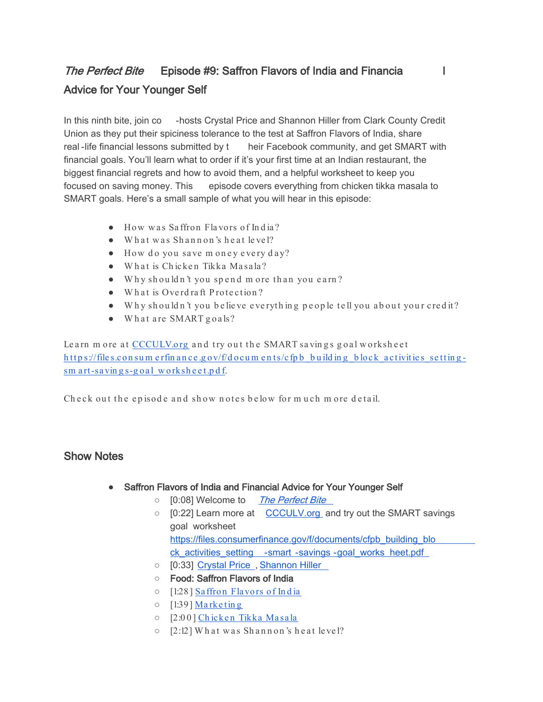## The Perfect Bite Episode #9: Saffron Flavors of India and Financia Advice for Your Younger Self

In this ninth bite, join co -hosts Crystal Price and Shannon Hiller from Clark County Credit Union as they put their spiciness tolerance to the test at Saffron Flavors of India, share real -life financial lessons submitted by t heir Facebook community, and get SMART with financial goals. You'll learn what to order if it's your first time at an Indian restaurant, the biggest financial regrets and how to avoid them, and a helpful worksheet to keep you focused on saving money. This episode covers everything from chicken tikka masala to SMART goals. Here's a small sample of what you will hear in this episode:

- $\bullet$  How was Saffron Flavors of India?
- What was Shannon's heat level?
- $\bullet$  How do you save money every day?
- What is Chicken Tikka Masala?
- Why shouldn't you spend more than you earn?
- What is Overdraft Protection?
- Why should n't you be lieve everything people tell you about your credit?
- What are SMART goals?

Learn m ore at CCCULV.org and try out the SMART savings goal worksheet https://files.consum erfinance.gov/f/docum ents/cfpb building block activities settingsm art-savings-goal worksheet.pdf.

Check out the episode and show notes below for much more detail.

## Show Notes

- Saffron Flavors of India and Financial Advice for Your Younger Self
	- [0:08] Welcome to [The Perfect Bite](https://www.ccculv.org/)
	- [0:22] Learn more at [CCCULV.org](https://www.ccculv.org/) and try out the SMART savings goal worksheet [https://files.consumerfinance.gov/f/documents/cfpb\\_building\\_blo](https://files.consumerfinance.gov/f/documents/cfpb_building_block_activities_setting-smart-savings-goal_worksheet.pdf) ck activities setting -smart -savings -goal works heet.pdf
	- [0:33] [Crystal Price](https://www.ccculv.org/Our-Mission.aspx) , [Shannon Hiller](https://www.ccculv.org/Our-Mission.aspx)
	- Food: Saffron Flavors of India
	- [1:28 ] [Sa ffron Fla vo rs o f In d ia](http://saffronflavorsofindia.com/)
	- $\circ$  [1:39] Marketing
	- [2:0 0 [\] Ch icke n Tikka Ma sa la](https://www.wellplated.com/instant-pot-chicken-tikka-masala/)
	- $\circ$  [2:12] What was Shannon's heat level?